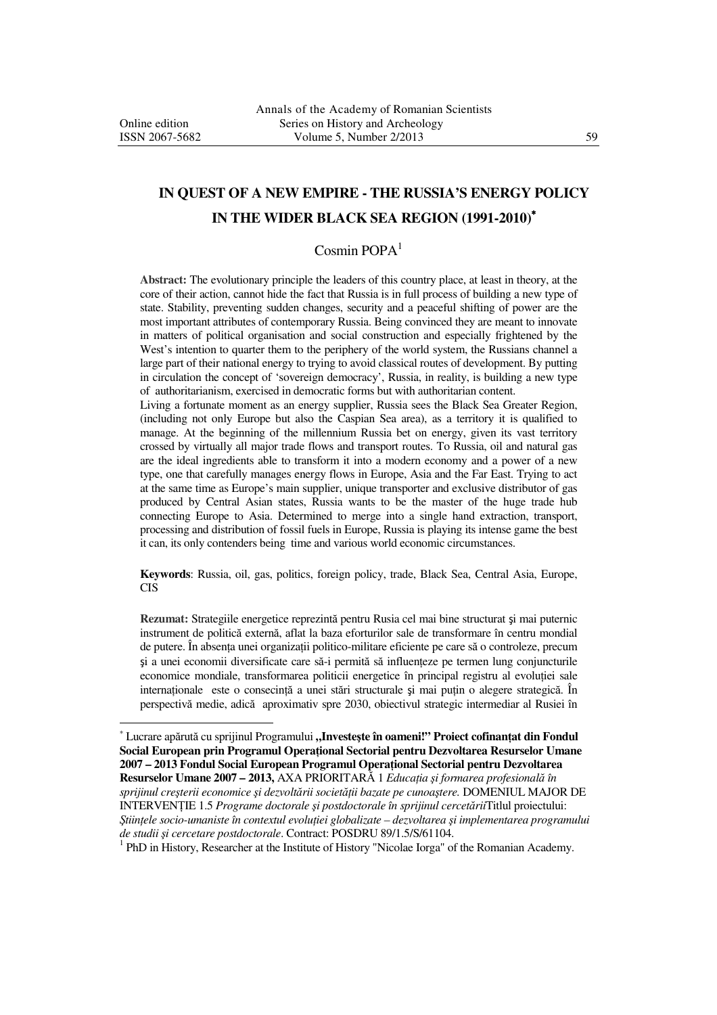l

# **IN QUEST OF A NEW EMPIRE - THE RUSSIA'S ENERGY POLICY IN THE WIDER BLACK SEA REGION (1991-2010)**<sup>∗</sup>

## $Cosmin POPA<sup>1</sup>$

**Abstract:** The evolutionary principle the leaders of this country place, at least in theory, at the core of their action, cannot hide the fact that Russia is in full process of building a new type of state. Stability, preventing sudden changes, security and a peaceful shifting of power are the most important attributes of contemporary Russia. Being convinced they are meant to innovate in matters of political organisation and social construction and especially frightened by the West's intention to quarter them to the periphery of the world system, the Russians channel a large part of their national energy to trying to avoid classical routes of development. By putting in circulation the concept of 'sovereign democracy', Russia, in reality, is building a new type of authoritarianism, exercised in democratic forms but with authoritarian content.

Living a fortunate moment as an energy supplier, Russia sees the Black Sea Greater Region, (including not only Europe but also the Caspian Sea area), as a territory it is qualified to manage. At the beginning of the millennium Russia bet on energy, given its vast territory crossed by virtually all major trade flows and transport routes. To Russia, oil and natural gas are the ideal ingredients able to transform it into a modern economy and a power of a new type, one that carefully manages energy flows in Europe, Asia and the Far East. Trying to act at the same time as Europe's main supplier, unique transporter and exclusive distributor of gas produced by Central Asian states, Russia wants to be the master of the huge trade hub connecting Europe to Asia. Determined to merge into a single hand extraction, transport, processing and distribution of fossil fuels in Europe, Russia is playing its intense game the best it can, its only contenders being time and various world economic circumstances.

**Keywords**: Russia, oil, gas, politics, foreign policy, trade, Black Sea, Central Asia, Europe, CIS

**Rezumat:** Strategiile energetice reprezintă pentru Rusia cel mai bine structurat şi mai puternic instrument de politică externă, aflat la baza eforturilor sale de transformare în centru mondial de putere. În absența unei organizații politico-militare eficiente pe care să o controleze, precum și a unei economii diversificate care să-i permită să influențeze pe termen lung conjuncturile economice mondiale, transformarea politicii energetice în principal registru al evoluției sale internationale este o consecintă a unei stări structurale și mai puțin o alegere strategică. În perspectivă medie, adică aproximativ spre 2030, obiectivul strategic intermediar al Rusiei în

*de studii şi cercetare postdoctorale*. Contract: POSDRU 89/1.5/S/61104.

<sup>1</sup> PhD in History, Researcher at the Institute of History "Nicolae Iorga" of the Romanian Academy.

**<sup>&</sup>lt;sup>\*</sup> Lucrare apărută cu sprijinul Programului "Investește în oameni!" Proiect cofinanțat din Fondul Social European prin Programul OperaŃional Sectorial pentru Dezvoltarea Resurselor Umane 2007 – 2013 Fondul Social European Programul OperaŃional Sectorial pentru Dezvoltarea Resurselor Umane 2007 – 2013, AXA PRIORITARĂ 1** *Educația și formarea profesională în sprijinul creşterii economice şi dezvoltării societăŃii bazate pe cunoaştere.* DOMENIUL MAJOR DE INTERVENłIE 1.5 *Programe doctorale şi postdoctorale în sprijinul cercetării*Titlul proiectului: *ŞtiinŃele socio-umaniste în contextul evoluŃiei globalizate – dezvoltarea şi implementarea programului*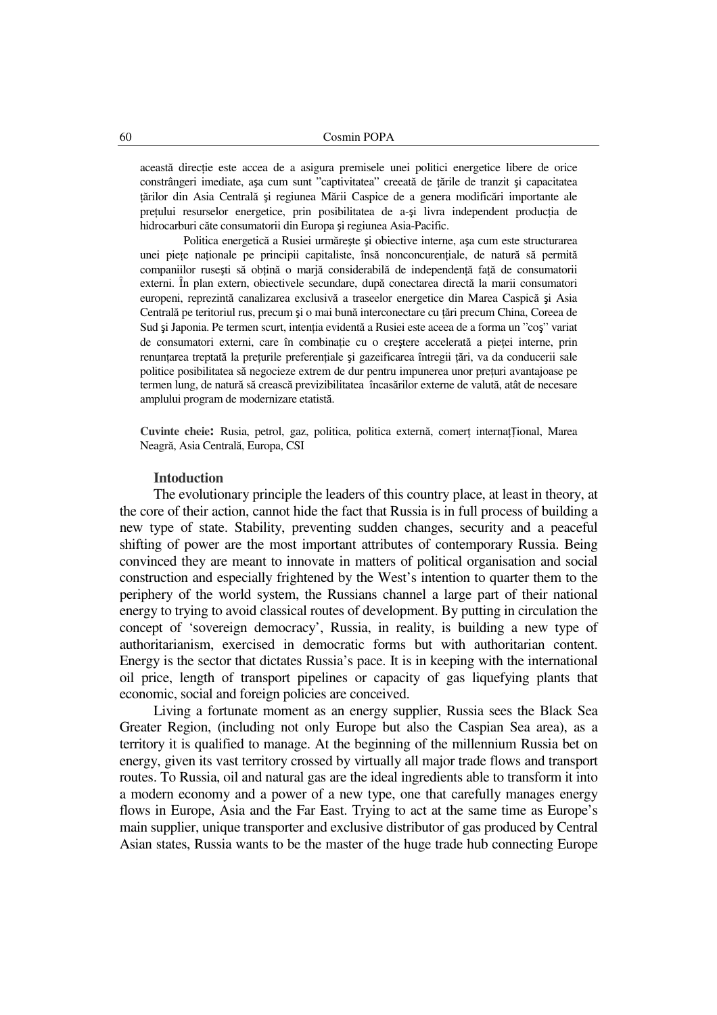această direcție este accea de a asigura premisele unei politici energetice libere de orice constrângeri imediate, așa cum sunt "captivitatea" creeată de țările de tranzit și capacitatea tărilor din Asia Centrală și regiunea Mării Caspice de a genera modificări importante ale prețului resurselor energetice, prin posibilitatea de a-și livra independent producția de hidrocarburi căte consumatorii din Europa şi regiunea Asia-Pacific.

Politica energetică a Rusiei urmăreşte şi obiective interne, aşa cum este structurarea unei piețe naționale pe principii capitaliste, însă nonconcurențiale, de natură să permită companiilor rusești să obțină o marjă considerabilă de independență față de consumatorii externi. În plan extern, obiectivele secundare, după conectarea directă la marii consumatori europeni, reprezintă canalizarea exclusivă a traseelor energetice din Marea Caspică şi Asia Centrală pe teritoriul rus, precum și o mai bună interconectare cu țări precum China, Coreea de Sud și Japonia. Pe termen scurt, intenția evidentă a Rusiei este aceea de a forma un "coș" variat de consumatori externi, care în combinatie cu o creștere accelerată a pietei interne, prin renunțarea treptată la prețurile preferențiale și gazeificarea întregii țări, va da conducerii sale politice posibilitatea să negocieze extrem de dur pentru impunerea unor prețuri avantajoase pe termen lung, de natură să crească previzibilitatea încasărilor externe de valută, atât de necesare amplului program de modernizare etatistă.

**Cuvinte cheie**: Rusia, petrol, gaz, politica, politica externă, comert internatTional, Marea Neagră, Asia Centrală, Europa, CSI

#### **Intoduction**

The evolutionary principle the leaders of this country place, at least in theory, at the core of their action, cannot hide the fact that Russia is in full process of building a new type of state. Stability, preventing sudden changes, security and a peaceful shifting of power are the most important attributes of contemporary Russia. Being convinced they are meant to innovate in matters of political organisation and social construction and especially frightened by the West's intention to quarter them to the periphery of the world system, the Russians channel a large part of their national energy to trying to avoid classical routes of development. By putting in circulation the concept of 'sovereign democracy', Russia, in reality, is building a new type of authoritarianism, exercised in democratic forms but with authoritarian content. Energy is the sector that dictates Russia's pace. It is in keeping with the international oil price, length of transport pipelines or capacity of gas liquefying plants that economic, social and foreign policies are conceived.

Living a fortunate moment as an energy supplier, Russia sees the Black Sea Greater Region, (including not only Europe but also the Caspian Sea area), as a territory it is qualified to manage. At the beginning of the millennium Russia bet on energy, given its vast territory crossed by virtually all major trade flows and transport routes. To Russia, oil and natural gas are the ideal ingredients able to transform it into a modern economy and a power of a new type, one that carefully manages energy flows in Europe, Asia and the Far East. Trying to act at the same time as Europe's main supplier, unique transporter and exclusive distributor of gas produced by Central Asian states, Russia wants to be the master of the huge trade hub connecting Europe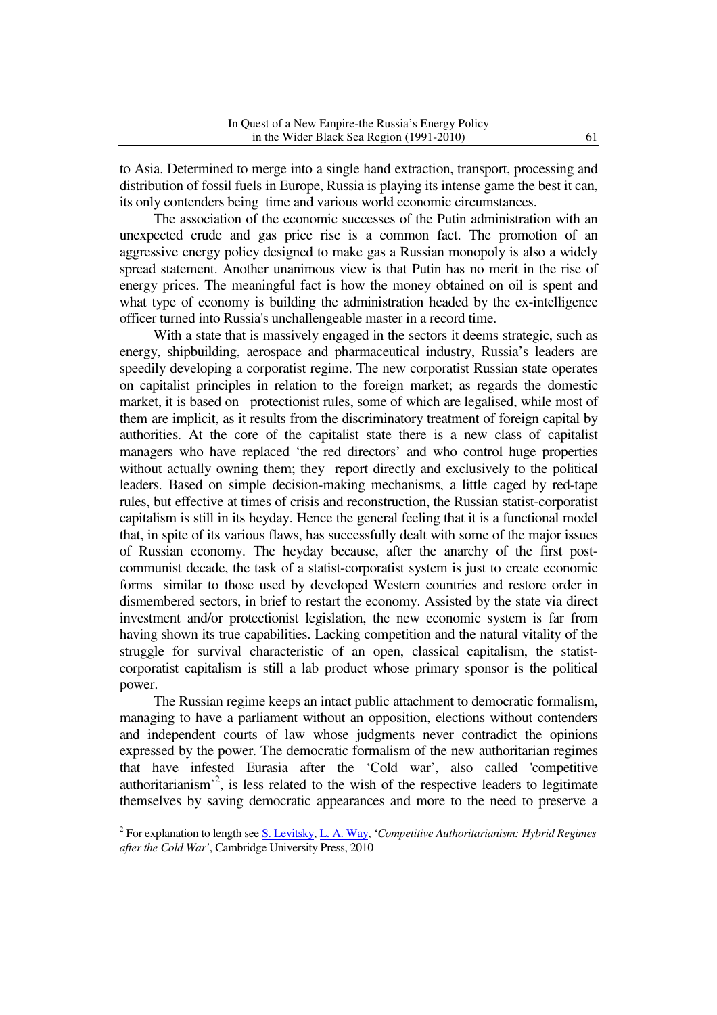to Asia. Determined to merge into a single hand extraction, transport, processing and distribution of fossil fuels in Europe, Russia is playing its intense game the best it can, its only contenders being time and various world economic circumstances.

The association of the economic successes of the Putin administration with an unexpected crude and gas price rise is a common fact. The promotion of an aggressive energy policy designed to make gas a Russian monopoly is also a widely spread statement. Another unanimous view is that Putin has no merit in the rise of energy prices. The meaningful fact is how the money obtained on oil is spent and what type of economy is building the administration headed by the ex-intelligence officer turned into Russia's unchallengeable master in a record time.

With a state that is massively engaged in the sectors it deems strategic, such as energy, shipbuilding, aerospace and pharmaceutical industry, Russia's leaders are speedily developing a corporatist regime. The new corporatist Russian state operates on capitalist principles in relation to the foreign market; as regards the domestic market, it is based on protectionist rules, some of which are legalised, while most of them are implicit, as it results from the discriminatory treatment of foreign capital by authorities. At the core of the capitalist state there is a new class of capitalist managers who have replaced 'the red directors' and who control huge properties without actually owning them; they report directly and exclusively to the political leaders. Based on simple decision-making mechanisms, a little caged by red-tape rules, but effective at times of crisis and reconstruction, the Russian statist-corporatist capitalism is still in its heyday. Hence the general feeling that it is a functional model that, in spite of its various flaws, has successfully dealt with some of the major issues of Russian economy. The heyday because, after the anarchy of the first postcommunist decade, the task of a statist-corporatist system is just to create economic forms similar to those used by developed Western countries and restore order in dismembered sectors, in brief to restart the economy. Assisted by the state via direct investment and/or protectionist legislation, the new economic system is far from having shown its true capabilities. Lacking competition and the natural vitality of the struggle for survival characteristic of an open, classical capitalism, the statistcorporatist capitalism is still a lab product whose primary sponsor is the political power.

The Russian regime keeps an intact public attachment to democratic formalism, managing to have a parliament without an opposition, elections without contenders and independent courts of law whose judgments never contradict the opinions expressed by the power. The democratic formalism of the new authoritarian regimes that have infested Eurasia after the 'Cold war', also called 'competitive authoritarianism<sup>32</sup>, is less related to the wish of the respective leaders to legitimate themselves by saving democratic appearances and more to the need to preserve a

<sup>2</sup> For explanation to length see S. Levitsky, L. A. Way, '*Competitive Authoritarianism: Hybrid Regimes after the Cold War'*, Cambridge University Press, 2010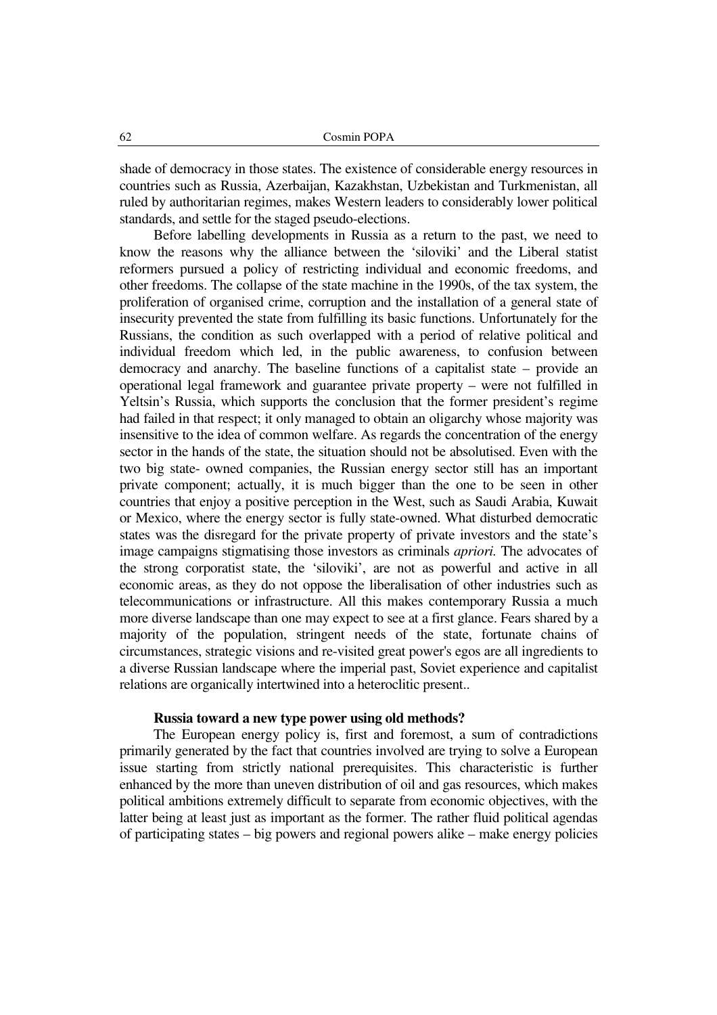shade of democracy in those states. The existence of considerable energy resources in countries such as Russia, Azerbaijan, Kazakhstan, Uzbekistan and Turkmenistan, all ruled by authoritarian regimes, makes Western leaders to considerably lower political standards, and settle for the staged pseudo-elections.

Before labelling developments in Russia as a return to the past, we need to know the reasons why the alliance between the 'siloviki' and the Liberal statist reformers pursued a policy of restricting individual and economic freedoms, and other freedoms. The collapse of the state machine in the 1990s, of the tax system, the proliferation of organised crime, corruption and the installation of a general state of insecurity prevented the state from fulfilling its basic functions. Unfortunately for the Russians, the condition as such overlapped with a period of relative political and individual freedom which led, in the public awareness, to confusion between democracy and anarchy. The baseline functions of a capitalist state – provide an operational legal framework and guarantee private property – were not fulfilled in Yeltsin's Russia, which supports the conclusion that the former president's regime had failed in that respect; it only managed to obtain an oligarchy whose majority was insensitive to the idea of common welfare. As regards the concentration of the energy sector in the hands of the state, the situation should not be absolutised. Even with the two big state- owned companies, the Russian energy sector still has an important private component; actually, it is much bigger than the one to be seen in other countries that enjoy a positive perception in the West, such as Saudi Arabia, Kuwait or Mexico, where the energy sector is fully state-owned. What disturbed democratic states was the disregard for the private property of private investors and the state's image campaigns stigmatising those investors as criminals *apriori.* The advocates of the strong corporatist state, the 'siloviki', are not as powerful and active in all economic areas, as they do not oppose the liberalisation of other industries such as telecommunications or infrastructure. All this makes contemporary Russia a much more diverse landscape than one may expect to see at a first glance. Fears shared by a majority of the population, stringent needs of the state, fortunate chains of circumstances, strategic visions and re-visited great power's egos are all ingredients to a diverse Russian landscape where the imperial past, Soviet experience and capitalist relations are organically intertwined into a heteroclitic present..

#### **Russia toward a new type power using old methods?**

The European energy policy is, first and foremost, a sum of contradictions primarily generated by the fact that countries involved are trying to solve a European issue starting from strictly national prerequisites. This characteristic is further enhanced by the more than uneven distribution of oil and gas resources, which makes political ambitions extremely difficult to separate from economic objectives, with the latter being at least just as important as the former. The rather fluid political agendas of participating states – big powers and regional powers alike – make energy policies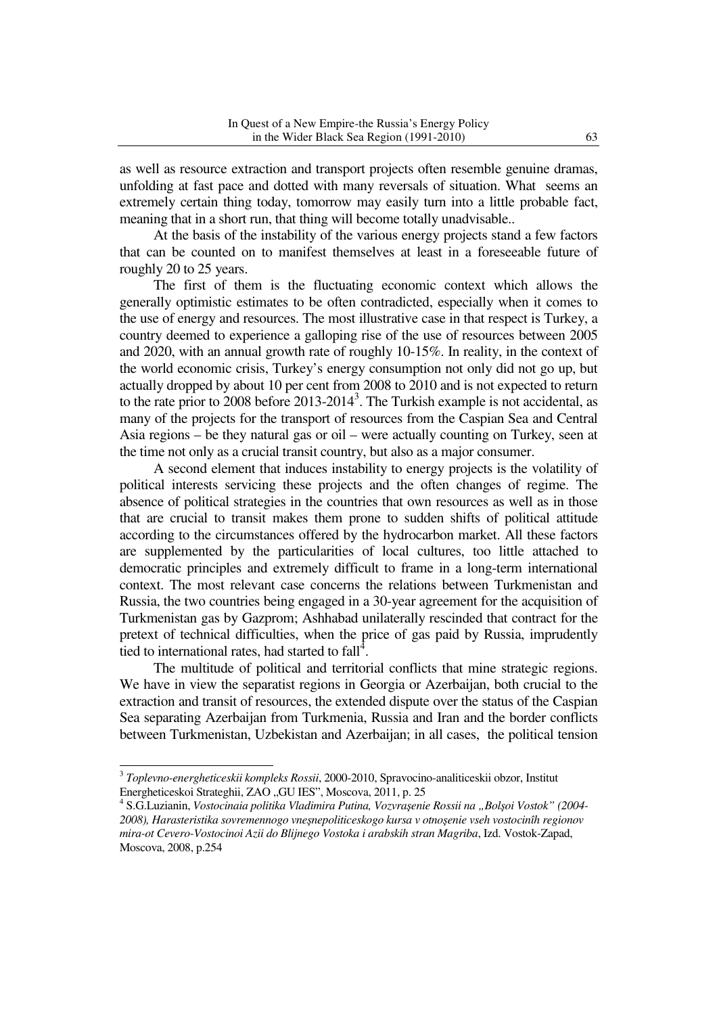as well as resource extraction and transport projects often resemble genuine dramas, unfolding at fast pace and dotted with many reversals of situation. What seems an extremely certain thing today, tomorrow may easily turn into a little probable fact, meaning that in a short run, that thing will become totally unadvisable..

At the basis of the instability of the various energy projects stand a few factors that can be counted on to manifest themselves at least in a foreseeable future of roughly 20 to 25 years.

The first of them is the fluctuating economic context which allows the generally optimistic estimates to be often contradicted, especially when it comes to the use of energy and resources. The most illustrative case in that respect is Turkey, a country deemed to experience a galloping rise of the use of resources between 2005 and 2020, with an annual growth rate of roughly 10-15%. In reality, in the context of the world economic crisis, Turkey's energy consumption not only did not go up, but actually dropped by about 10 per cent from 2008 to 2010 and is not expected to return to the rate prior to 2008 before  $2013-2014^3$ . The Turkish example is not accidental, as many of the projects for the transport of resources from the Caspian Sea and Central Asia regions – be they natural gas or oil – were actually counting on Turkey, seen at the time not only as a crucial transit country, but also as a major consumer.

A second element that induces instability to energy projects is the volatility of political interests servicing these projects and the often changes of regime. The absence of political strategies in the countries that own resources as well as in those that are crucial to transit makes them prone to sudden shifts of political attitude according to the circumstances offered by the hydrocarbon market. All these factors are supplemented by the particularities of local cultures, too little attached to democratic principles and extremely difficult to frame in a long-term international context. The most relevant case concerns the relations between Turkmenistan and Russia, the two countries being engaged in a 30-year agreement for the acquisition of Turkmenistan gas by Gazprom; Ashhabad unilaterally rescinded that contract for the pretext of technical difficulties, when the price of gas paid by Russia, imprudently tied to international rates, had started to  $fall<sup>4</sup>$ .

The multitude of political and territorial conflicts that mine strategic regions. We have in view the separatist regions in Georgia or Azerbaijan, both crucial to the extraction and transit of resources, the extended dispute over the status of the Caspian Sea separating Azerbaijan from Turkmenia, Russia and Iran and the border conflicts between Turkmenistan, Uzbekistan and Azerbaijan; in all cases, the political tension

 3 *Toplevno-energheticeskii kompleks Rossii*, 2000-2010, Spravocino-analiticeskii obzor, Institut

Energheticeskoi Strateghii, ZAO "GU IES", Moscova, 2011, p. 25<br><sup>4</sup> S.G.Luzianin, *Vostocinaia politika Vladimira Putina, Vozvraşenie Rossii na "Bolşoi Vostok" (2004-2008), Harasteristika sovremennogo vneşnepoliticeskogo kursa v otnoşenie vseh vostocinîh regionov mira-ot Cevero-Vostocinoi Azii do Blijnego Vostoka i arabskih stran Magriba*, Izd. Vostok-Zapad, Moscova, 2008, p.254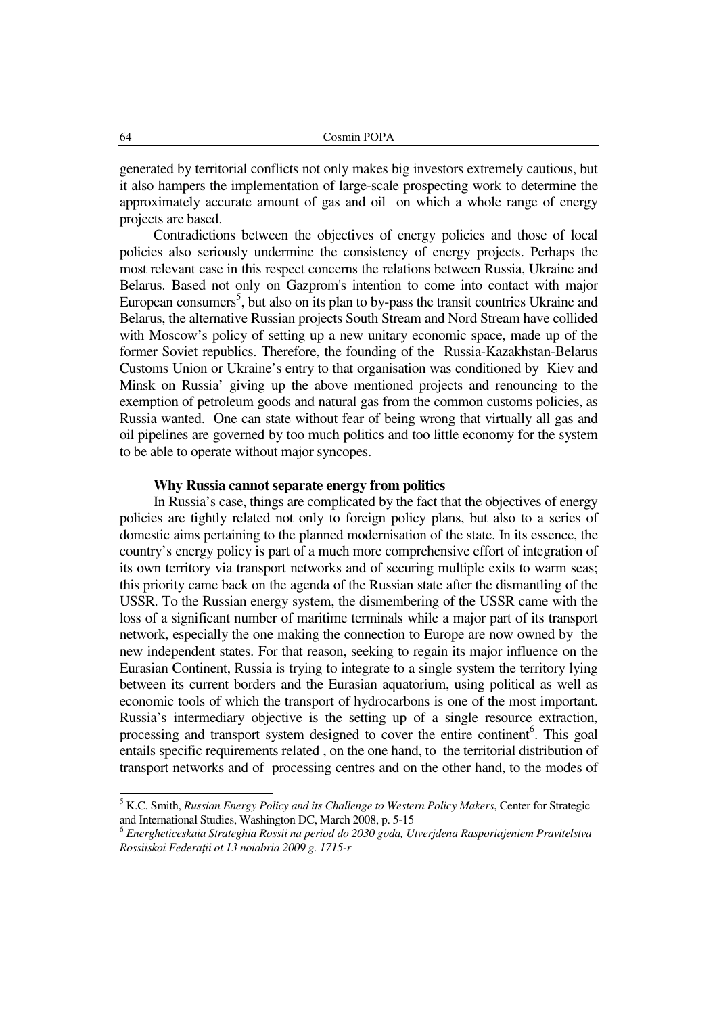generated by territorial conflicts not only makes big investors extremely cautious, but it also hampers the implementation of large-scale prospecting work to determine the approximately accurate amount of gas and oil on which a whole range of energy projects are based.

Contradictions between the objectives of energy policies and those of local policies also seriously undermine the consistency of energy projects. Perhaps the most relevant case in this respect concerns the relations between Russia, Ukraine and Belarus. Based not only on Gazprom's intention to come into contact with major European consumers<sup>5</sup>, but also on its plan to by-pass the transit countries Ukraine and Belarus, the alternative Russian projects South Stream and Nord Stream have collided with Moscow's policy of setting up a new unitary economic space, made up of the former Soviet republics. Therefore, the founding of the Russia-Kazakhstan-Belarus Customs Union or Ukraine's entry to that organisation was conditioned by Kiev and Minsk on Russia' giving up the above mentioned projects and renouncing to the exemption of petroleum goods and natural gas from the common customs policies, as Russia wanted. One can state without fear of being wrong that virtually all gas and oil pipelines are governed by too much politics and too little economy for the system to be able to operate without major syncopes.

#### **Why Russia cannot separate energy from politics**

In Russia's case, things are complicated by the fact that the objectives of energy policies are tightly related not only to foreign policy plans, but also to a series of domestic aims pertaining to the planned modernisation of the state. In its essence, the country's energy policy is part of a much more comprehensive effort of integration of its own territory via transport networks and of securing multiple exits to warm seas; this priority came back on the agenda of the Russian state after the dismantling of the USSR. To the Russian energy system, the dismembering of the USSR came with the loss of a significant number of maritime terminals while a major part of its transport network, especially the one making the connection to Europe are now owned by the new independent states. For that reason, seeking to regain its major influence on the Eurasian Continent, Russia is trying to integrate to a single system the territory lying between its current borders and the Eurasian aquatorium, using political as well as economic tools of which the transport of hydrocarbons is one of the most important. Russia's intermediary objective is the setting up of a single resource extraction, processing and transport system designed to cover the entire continent<sup>6</sup>. This goal entails specific requirements related , on the one hand, to the territorial distribution of transport networks and of processing centres and on the other hand, to the modes of

<sup>5</sup> K.C. Smith, *Russian Energy Policy and its Challenge to Western Policy Makers*, Center for Strategic and International Studies, Washington DC, March 2008, p. 5-15

<sup>6</sup> *Energheticeskaia Strateghia Rossii na period do 2030 goda, Utverjdena Rasporiajeniem Pravitelstva Rossiiskoi FederaŃii ot 13 noiabria 2009 g. 1715-r*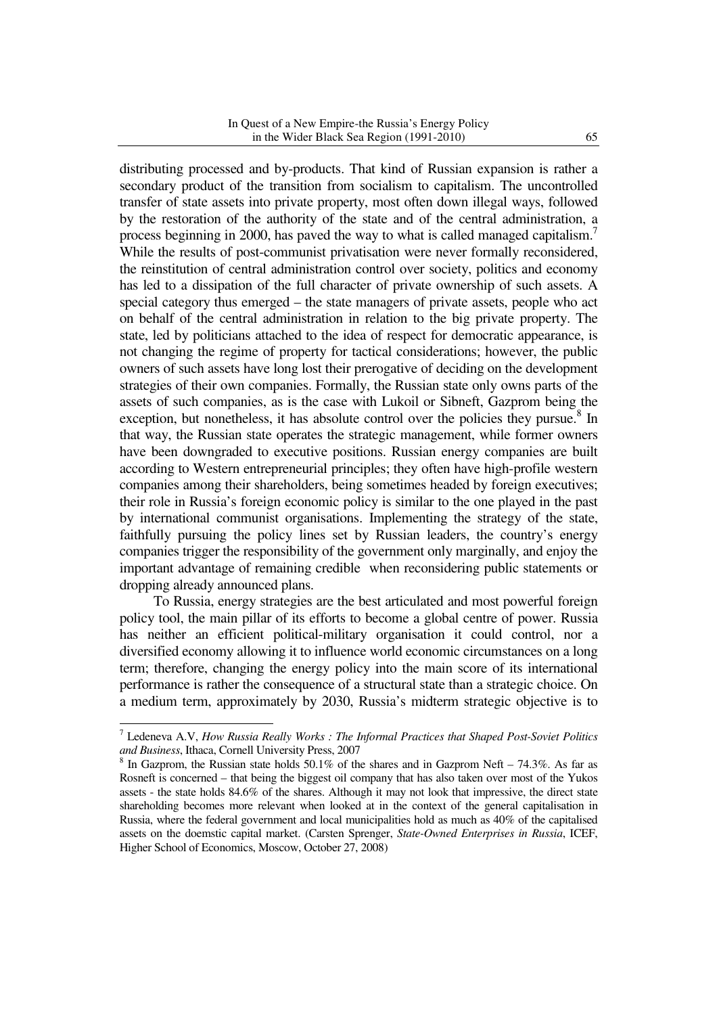distributing processed and by-products. That kind of Russian expansion is rather a secondary product of the transition from socialism to capitalism. The uncontrolled transfer of state assets into private property, most often down illegal ways, followed by the restoration of the authority of the state and of the central administration, a process beginning in 2000, has paved the way to what is called managed capitalism.<sup>7</sup> While the results of post-communist privatisation were never formally reconsidered, the reinstitution of central administration control over society, politics and economy has led to a dissipation of the full character of private ownership of such assets. A special category thus emerged – the state managers of private assets, people who act on behalf of the central administration in relation to the big private property. The state, led by politicians attached to the idea of respect for democratic appearance, is not changing the regime of property for tactical considerations; however, the public owners of such assets have long lost their prerogative of deciding on the development strategies of their own companies. Formally, the Russian state only owns parts of the assets of such companies, as is the case with Lukoil or Sibneft, Gazprom being the exception, but nonetheless, it has absolute control over the policies they pursue. $8 \text{ In }$ that way, the Russian state operates the strategic management, while former owners have been downgraded to executive positions. Russian energy companies are built according to Western entrepreneurial principles; they often have high-profile western companies among their shareholders, being sometimes headed by foreign executives; their role in Russia's foreign economic policy is similar to the one played in the past by international communist organisations. Implementing the strategy of the state, faithfully pursuing the policy lines set by Russian leaders, the country's energy companies trigger the responsibility of the government only marginally, and enjoy the important advantage of remaining credible when reconsidering public statements or dropping already announced plans.

To Russia, energy strategies are the best articulated and most powerful foreign policy tool, the main pillar of its efforts to become a global centre of power. Russia has neither an efficient political-military organisation it could control, nor a diversified economy allowing it to influence world economic circumstances on a long term; therefore, changing the energy policy into the main score of its international performance is rather the consequence of a structural state than a strategic choice. On a medium term, approximately by 2030, Russia's midterm strategic objective is to

<sup>7</sup> Ledeneva A.V, *How Russia Really Works : The Informal Practices that Shaped Post-Soviet Politics and Business*, Ithaca, Cornell University Press, 2007

<sup>8</sup> In Gazprom, the Russian state holds 50.1% of the shares and in Gazprom Neft – 74.3%. As far as Rosneft is concerned – that being the biggest oil company that has also taken over most of the Yukos assets - the state holds 84.6% of the shares. Although it may not look that impressive, the direct state shareholding becomes more relevant when looked at in the context of the general capitalisation in Russia, where the federal government and local municipalities hold as much as 40% of the capitalised assets on the doemstic capital market. (Carsten Sprenger, *State-Owned Enterprises in Russia*, ICEF, Higher School of Economics, Moscow, October 27, 2008)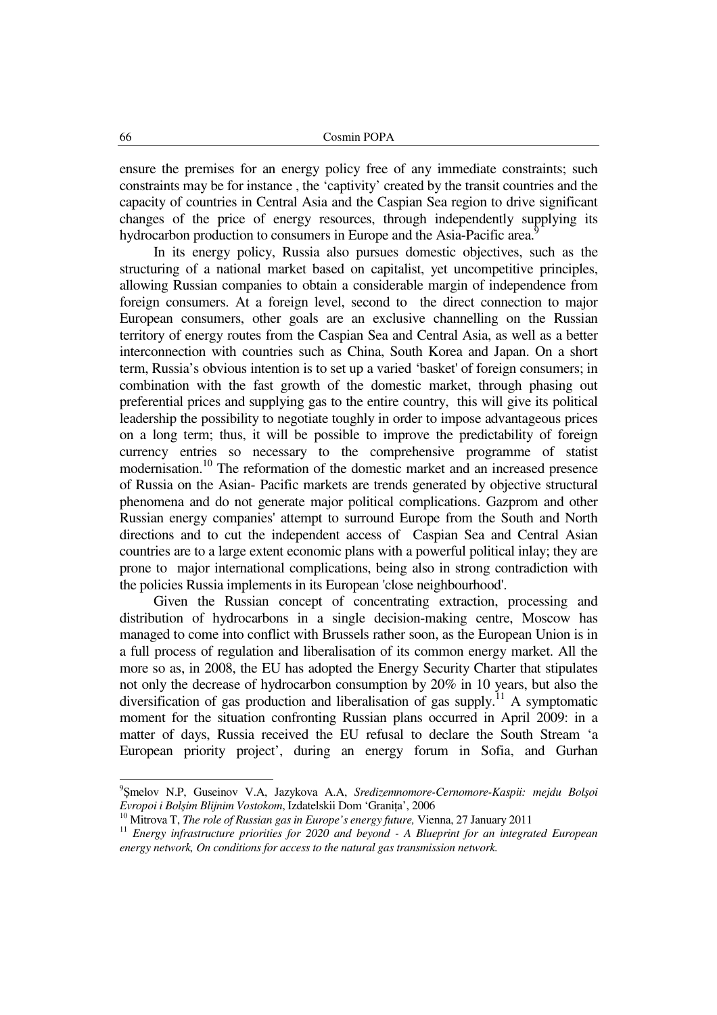ensure the premises for an energy policy free of any immediate constraints; such constraints may be for instance , the 'captivity' created by the transit countries and the capacity of countries in Central Asia and the Caspian Sea region to drive significant changes of the price of energy resources, through independently supplying its hydrocarbon production to consumers in Europe and the Asia-Pacific area.

In its energy policy, Russia also pursues domestic objectives, such as the structuring of a national market based on capitalist, yet uncompetitive principles, allowing Russian companies to obtain a considerable margin of independence from foreign consumers. At a foreign level, second to the direct connection to major European consumers, other goals are an exclusive channelling on the Russian territory of energy routes from the Caspian Sea and Central Asia, as well as a better interconnection with countries such as China, South Korea and Japan. On a short term, Russia's obvious intention is to set up a varied 'basket' of foreign consumers; in combination with the fast growth of the domestic market, through phasing out preferential prices and supplying gas to the entire country, this will give its political leadership the possibility to negotiate toughly in order to impose advantageous prices on a long term; thus, it will be possible to improve the predictability of foreign currency entries so necessary to the comprehensive programme of statist modernisation.<sup>10</sup> The reformation of the domestic market and an increased presence of Russia on the Asian- Pacific markets are trends generated by objective structural phenomena and do not generate major political complications. Gazprom and other Russian energy companies' attempt to surround Europe from the South and North directions and to cut the independent access of Caspian Sea and Central Asian countries are to a large extent economic plans with a powerful political inlay; they are prone to major international complications, being also in strong contradiction with the policies Russia implements in its European 'close neighbourhood'.

Given the Russian concept of concentrating extraction, processing and distribution of hydrocarbons in a single decision-making centre, Moscow has managed to come into conflict with Brussels rather soon, as the European Union is in a full process of regulation and liberalisation of its common energy market. All the more so as, in 2008, the EU has adopted the Energy Security Charter that stipulates not only the decrease of hydrocarbon consumption by 20% in 10 years, but also the diversification of gas production and liberalisation of gas supply.<sup>11</sup> A symptomatic moment for the situation confronting Russian plans occurred in April 2009: in a matter of days, Russia received the EU refusal to declare the South Stream 'a European priority project', during an energy forum in Sofia, and Gurhan

<sup>9</sup> Şmelov N.P, Guseinov V.A, Jazykova A.A, *Sredizemnomore-Cernomore-Kaspii: mejdu Bolşoi*   $Evropoi$  i Bolşim Blijnim Vostokom, Izdatelskii Dom 'Granița', 2006

<sup>10</sup> Mitrova T, *The role of Russian gas in Europe's energy future,* Vienna, 27 January 2011

<sup>&</sup>lt;sup>11</sup> *Energy infrastructure priorities for 2020 and beyond - A Blueprint for an integrated European energy network, On conditions for access to the natural gas transmission network.*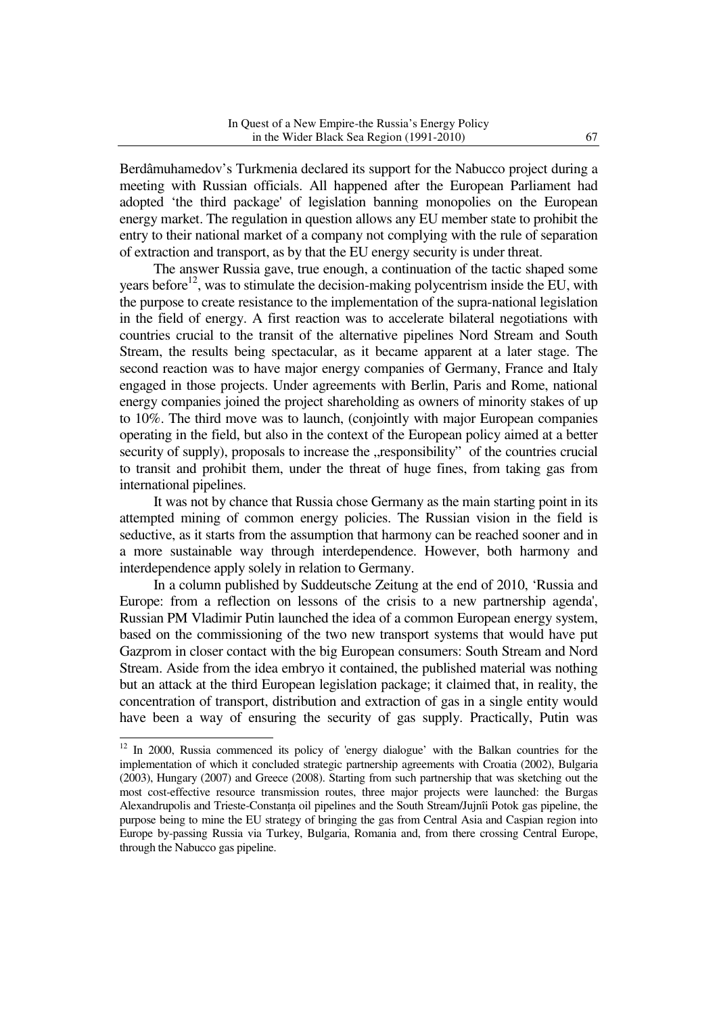Berdâmuhamedov's Turkmenia declared its support for the Nabucco project during a meeting with Russian officials. All happened after the European Parliament had adopted 'the third package' of legislation banning monopolies on the European energy market. The regulation in question allows any EU member state to prohibit the entry to their national market of a company not complying with the rule of separation of extraction and transport, as by that the EU energy security is under threat.

The answer Russia gave, true enough, a continuation of the tactic shaped some years before<sup>12</sup>, was to stimulate the decision-making polycentrism inside the EU, with the purpose to create resistance to the implementation of the supra-national legislation in the field of energy. A first reaction was to accelerate bilateral negotiations with countries crucial to the transit of the alternative pipelines Nord Stream and South Stream, the results being spectacular, as it became apparent at a later stage. The second reaction was to have major energy companies of Germany, France and Italy engaged in those projects. Under agreements with Berlin, Paris and Rome, national energy companies joined the project shareholding as owners of minority stakes of up to 10%. The third move was to launch, (conjointly with major European companies operating in the field, but also in the context of the European policy aimed at a better security of supply), proposals to increase the "responsibility" of the countries crucial to transit and prohibit them, under the threat of huge fines, from taking gas from international pipelines.

It was not by chance that Russia chose Germany as the main starting point in its attempted mining of common energy policies. The Russian vision in the field is seductive, as it starts from the assumption that harmony can be reached sooner and in a more sustainable way through interdependence. However, both harmony and interdependence apply solely in relation to Germany.

In a column published by Suddeutsche Zeitung at the end of 2010, 'Russia and Europe: from a reflection on lessons of the crisis to a new partnership agenda', Russian PM Vladimir Putin launched the idea of a common European energy system, based on the commissioning of the two new transport systems that would have put Gazprom in closer contact with the big European consumers: South Stream and Nord Stream. Aside from the idea embryo it contained, the published material was nothing but an attack at the third European legislation package; it claimed that, in reality, the concentration of transport, distribution and extraction of gas in a single entity would have been a way of ensuring the security of gas supply. Practically, Putin was

 $12$  In 2000, Russia commenced its policy of 'energy dialogue' with the Balkan countries for the implementation of which it concluded strategic partnership agreements with Croatia (2002), Bulgaria (2003), Hungary (2007) and Greece (2008). Starting from such partnership that was sketching out the most cost-effective resource transmission routes, three major projects were launched: the Burgas Alexandrupolis and Trieste-Constanta oil pipelines and the South Stream/Jujnîi Potok gas pipeline, the purpose being to mine the EU strategy of bringing the gas from Central Asia and Caspian region into Europe by-passing Russia via Turkey, Bulgaria, Romania and, from there crossing Central Europe, through the Nabucco gas pipeline.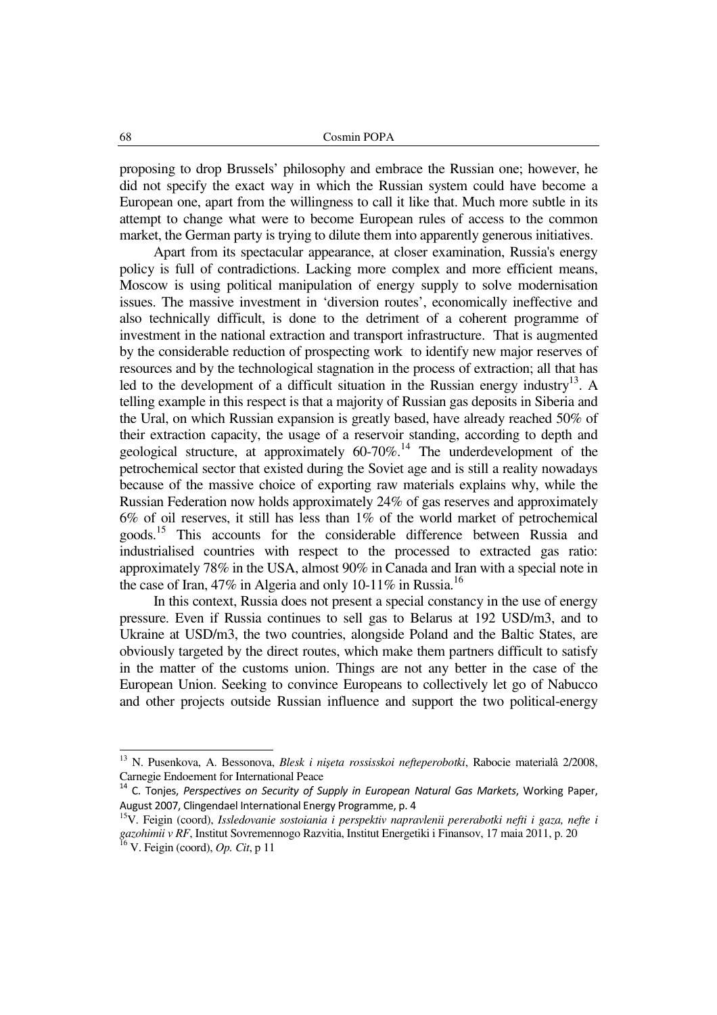proposing to drop Brussels' philosophy and embrace the Russian one; however, he did not specify the exact way in which the Russian system could have become a European one, apart from the willingness to call it like that. Much more subtle in its attempt to change what were to become European rules of access to the common market, the German party is trying to dilute them into apparently generous initiatives.

Apart from its spectacular appearance, at closer examination, Russia's energy policy is full of contradictions. Lacking more complex and more efficient means, Moscow is using political manipulation of energy supply to solve modernisation issues. The massive investment in 'diversion routes', economically ineffective and also technically difficult, is done to the detriment of a coherent programme of investment in the national extraction and transport infrastructure. That is augmented by the considerable reduction of prospecting work to identify new major reserves of resources and by the technological stagnation in the process of extraction; all that has led to the development of a difficult situation in the Russian energy industry<sup>13</sup>. A telling example in this respect is that a majority of Russian gas deposits in Siberia and the Ural, on which Russian expansion is greatly based, have already reached 50% of their extraction capacity, the usage of a reservoir standing, according to depth and geological structure, at approximately  $60-70\%$ .<sup>14</sup> The underdevelopment of the petrochemical sector that existed during the Soviet age and is still a reality nowadays because of the massive choice of exporting raw materials explains why, while the Russian Federation now holds approximately 24% of gas reserves and approximately 6% of oil reserves, it still has less than 1% of the world market of petrochemical goods.<sup>15</sup> This accounts for the considerable difference between Russia and industrialised countries with respect to the processed to extracted gas ratio: approximately 78% in the USA, almost 90% in Canada and Iran with a special note in the case of Iran, 47% in Algeria and only 10-11% in Russia.<sup>16</sup>

In this context, Russia does not present a special constancy in the use of energy pressure. Even if Russia continues to sell gas to Belarus at 192 USD/m3, and to Ukraine at USD/m3, the two countries, alongside Poland and the Baltic States, are obviously targeted by the direct routes, which make them partners difficult to satisfy in the matter of the customs union. Things are not any better in the case of the European Union. Seeking to convince Europeans to collectively let go of Nabucco and other projects outside Russian influence and support the two political-energy

<sup>15</sup>V. Feigin (coord), *Issledovanie sostoiania i perspektiv napravlenii pererabotki nefti i gaza, nefte i gazohimii v RF*, Institut Sovremennogo Razvitia, Institut Energetiki i Finansov, 17 maia 2011, p. 20 <sup>16</sup> V. Feigin (coord), *Op. Cit*, p 11

<sup>13</sup> N. Pusenkova, A. Bessonova, *Blesk i nişeta rossisskoi nefteperobotki*, Rabocie materialâ 2/2008, Carnegie Endoement for International Peace

<sup>&</sup>lt;sup>14</sup> C. Tonjes, Perspectives on Security of Supply in European Natural Gas Markets, Working Paper, August 2007, Clingendael International Energy Programme, p. 4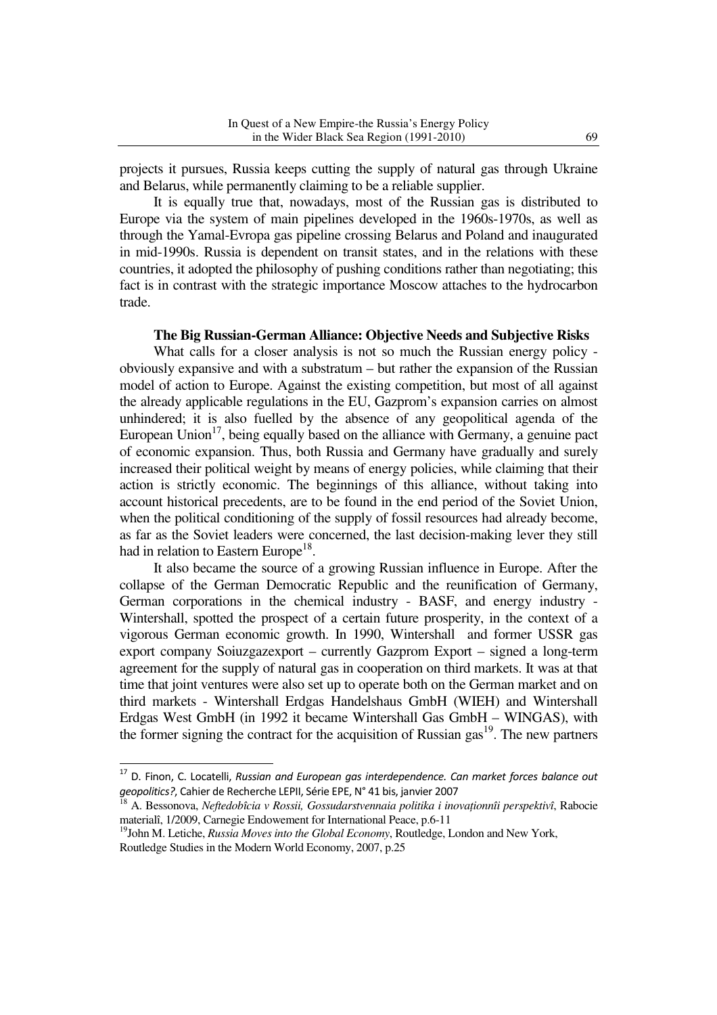projects it pursues, Russia keeps cutting the supply of natural gas through Ukraine and Belarus, while permanently claiming to be a reliable supplier.

It is equally true that, nowadays, most of the Russian gas is distributed to Europe via the system of main pipelines developed in the 1960s-1970s, as well as through the Yamal-Evropa gas pipeline crossing Belarus and Poland and inaugurated in mid-1990s. Russia is dependent on transit states, and in the relations with these countries, it adopted the philosophy of pushing conditions rather than negotiating; this fact is in contrast with the strategic importance Moscow attaches to the hydrocarbon trade.

### **The Big Russian-German Alliance: Objective Needs and Subjective Risks**

What calls for a closer analysis is not so much the Russian energy policy obviously expansive and with a substratum – but rather the expansion of the Russian model of action to Europe. Against the existing competition, but most of all against the already applicable regulations in the EU, Gazprom's expansion carries on almost unhindered; it is also fuelled by the absence of any geopolitical agenda of the European Union<sup>17</sup>, being equally based on the alliance with Germany, a genuine pact of economic expansion. Thus, both Russia and Germany have gradually and surely increased their political weight by means of energy policies, while claiming that their action is strictly economic. The beginnings of this alliance, without taking into account historical precedents, are to be found in the end period of the Soviet Union, when the political conditioning of the supply of fossil resources had already become, as far as the Soviet leaders were concerned, the last decision-making lever they still had in relation to Eastern Europe<sup>18</sup>.

It also became the source of a growing Russian influence in Europe. After the collapse of the German Democratic Republic and the reunification of Germany, German corporations in the chemical industry - BASF, and energy industry - Wintershall, spotted the prospect of a certain future prosperity, in the context of a vigorous German economic growth. In 1990, Wintershall and former USSR gas export company Soiuzgazexport – currently Gazprom Export – signed a long-term agreement for the supply of natural gas in cooperation on third markets. It was at that time that joint ventures were also set up to operate both on the German market and on third markets - Wintershall Erdgas Handelshaus GmbH (WIEH) and Wintershall Erdgas West GmbH (in 1992 it became Wintershall Gas GmbH – WINGAS), with the former signing the contract for the acquisition of Russian gas $^{19}$ . The new partners

<sup>17</sup> D. Finon, C. Locatelli, *Russian and European gas interdependence. Can market forces balance out geopolitics?*, Cahier de Recherche LEPII, Série EPE, N° 41 bis, janvier 2007

<sup>&</sup>lt;sup>18</sup> A. Bessonova, *Neftedobîcia v Rossii, Gossudarstvennaia politika i inovaționnîi perspektivî*, Rabocie materialî, 1/2009, Carnegie Endowement for International Peace, p.6-11

<sup>&</sup>lt;sup>19</sup>John M. Letiche, *Russia Moves into the Global Economy*, Routledge, London and New York, Routledge Studies in the Modern World Economy, 2007, p.25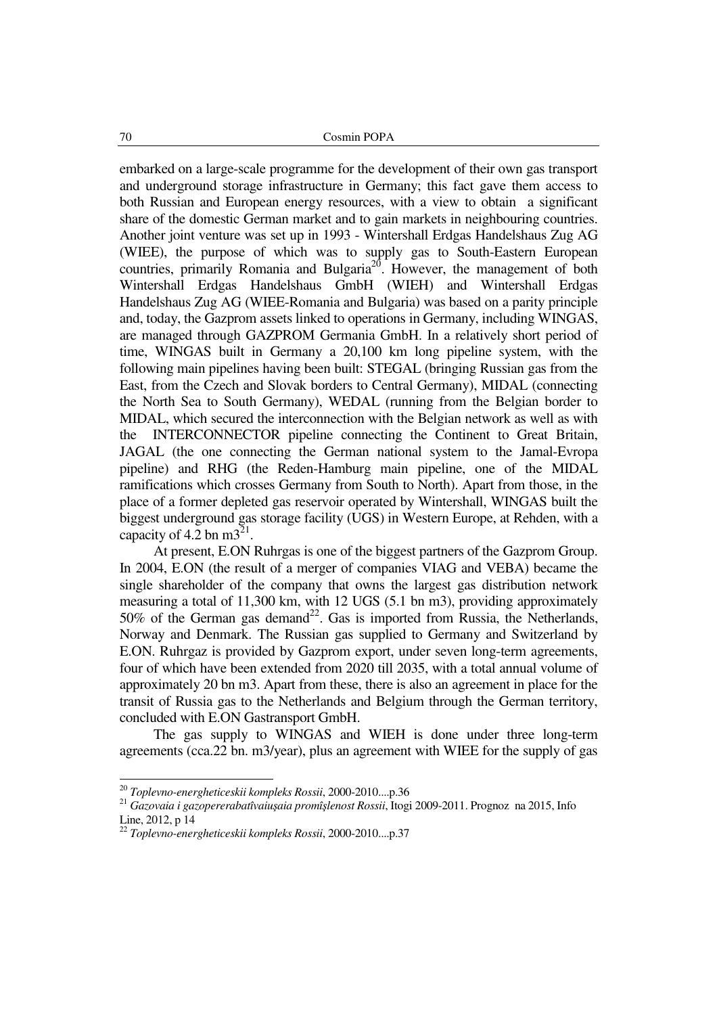embarked on a large-scale programme for the development of their own gas transport and underground storage infrastructure in Germany; this fact gave them access to both Russian and European energy resources, with a view to obtain a significant share of the domestic German market and to gain markets in neighbouring countries. Another joint venture was set up in 1993 - Wintershall Erdgas Handelshaus Zug AG (WIEE), the purpose of which was to supply gas to South-Eastern European countries, primarily Romania and Bulgaria<sup>20</sup>. However, the management of both Wintershall Erdgas Handelshaus GmbH (WIEH) and Wintershall Erdgas Handelshaus Zug AG (WIEE-Romania and Bulgaria) was based on a parity principle and, today, the Gazprom assets linked to operations in Germany, including WINGAS, are managed through GAZPROM Germania GmbH. In a relatively short period of time, WINGAS built in Germany a 20,100 km long pipeline system, with the following main pipelines having been built: STEGAL (bringing Russian gas from the East, from the Czech and Slovak borders to Central Germany), MIDAL (connecting the North Sea to South Germany), WEDAL (running from the Belgian border to MIDAL, which secured the interconnection with the Belgian network as well as with the INTERCONNECTOR pipeline connecting the Continent to Great Britain, JAGAL (the one connecting the German national system to the Jamal-Evropa pipeline) and RHG (the Reden-Hamburg main pipeline, one of the MIDAL ramifications which crosses Germany from South to North). Apart from those, in the place of a former depleted gas reservoir operated by Wintershall, WINGAS built the biggest underground gas storage facility (UGS) in Western Europe, at Rehden, with a capacity of 4.2 bn  $m3^{21}$ .

At present, E.ON Ruhrgas is one of the biggest partners of the Gazprom Group. In 2004, E.ON (the result of a merger of companies VIAG and VEBA) became the single shareholder of the company that owns the largest gas distribution network measuring a total of 11,300 km, with 12 UGS (5.1 bn m3), providing approximately 50% of the German gas demand<sup>22</sup>. Gas is imported from Russia, the Netherlands, Norway and Denmark. The Russian gas supplied to Germany and Switzerland by E.ON. Ruhrgaz is provided by Gazprom export, under seven long-term agreements, four of which have been extended from 2020 till 2035, with a total annual volume of approximately 20 bn m3. Apart from these, there is also an agreement in place for the transit of Russia gas to the Netherlands and Belgium through the German territory, concluded with E.ON Gastransport GmbH.

The gas supply to WINGAS and WIEH is done under three long-term agreements (cca.22 bn. m3/year), plus an agreement with WIEE for the supply of gas

<sup>20</sup> *Toplevno-energheticeskii kompleks Rossii*, 2000-2010....p.36

<sup>21</sup> *Gazovaia i gazopererabatîvaiuşaia promîşlenost Rossii*, Itogi 2009-2011. Prognoz na 2015, Info Line, 2012, p 14

<sup>22</sup> *Toplevno-energheticeskii kompleks Rossii*, 2000-2010....p.37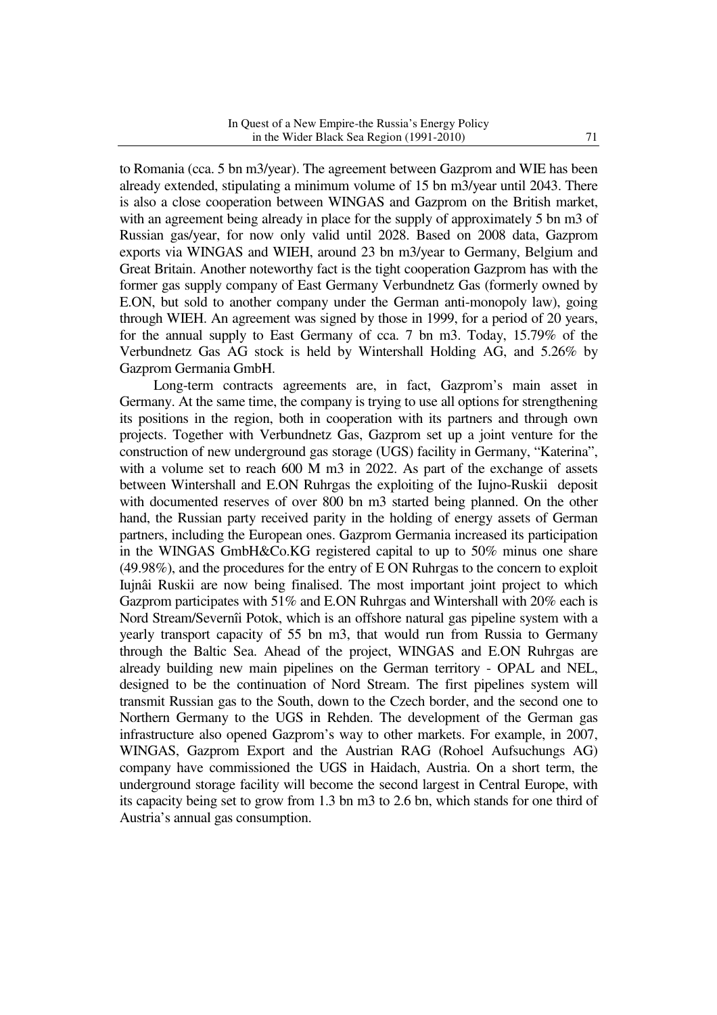to Romania (cca. 5 bn m3/year). The agreement between Gazprom and WIE has been already extended, stipulating a minimum volume of 15 bn m3/year until 2043. There is also a close cooperation between WINGAS and Gazprom on the British market, with an agreement being already in place for the supply of approximately 5 bn m3 of Russian gas/year, for now only valid until 2028. Based on 2008 data, Gazprom exports via WINGAS and WIEH, around 23 bn m3/year to Germany, Belgium and Great Britain. Another noteworthy fact is the tight cooperation Gazprom has with the former gas supply company of East Germany Verbundnetz Gas (formerly owned by E.ON, but sold to another company under the German anti-monopoly law), going through WIEH. An agreement was signed by those in 1999, for a period of 20 years, for the annual supply to East Germany of cca. 7 bn m3. Today, 15.79% of the Verbundnetz Gas AG stock is held by Wintershall Holding AG, and 5.26% by Gazprom Germania GmbH.

Long-term contracts agreements are, in fact, Gazprom's main asset in Germany. At the same time, the company is trying to use all options for strengthening its positions in the region, both in cooperation with its partners and through own projects. Together with Verbundnetz Gas, Gazprom set up a joint venture for the construction of new underground gas storage (UGS) facility in Germany, "Katerina", with a volume set to reach 600 M m3 in 2022. As part of the exchange of assets between Wintershall and E.ON Ruhrgas the exploiting of the Iujno-Ruskii deposit with documented reserves of over 800 bn m3 started being planned. On the other hand, the Russian party received parity in the holding of energy assets of German partners, including the European ones. Gazprom Germania increased its participation in the WINGAS GmbH&Co.KG registered capital to up to 50% minus one share (49.98%), and the procedures for the entry of E ON Ruhrgas to the concern to exploit Iujnâi Ruskii are now being finalised. The most important joint project to which Gazprom participates with 51% and E.ON Ruhrgas and Wintershall with 20% each is Nord Stream/Severnîi Potok, which is an offshore natural gas pipeline system with a yearly transport capacity of 55 bn m3, that would run from Russia to Germany through the Baltic Sea. Ahead of the project, WINGAS and E.ON Ruhrgas are already building new main pipelines on the German territory - OPAL and NEL, designed to be the continuation of Nord Stream. The first pipelines system will transmit Russian gas to the South, down to the Czech border, and the second one to Northern Germany to the UGS in Rehden. The development of the German gas infrastructure also opened Gazprom's way to other markets. For example, in 2007, WINGAS, Gazprom Export and the Austrian RAG (Rohoel Aufsuchungs AG) company have commissioned the UGS in Haidach, Austria. On a short term, the underground storage facility will become the second largest in Central Europe, with its capacity being set to grow from 1.3 bn m3 to 2.6 bn, which stands for one third of Austria's annual gas consumption.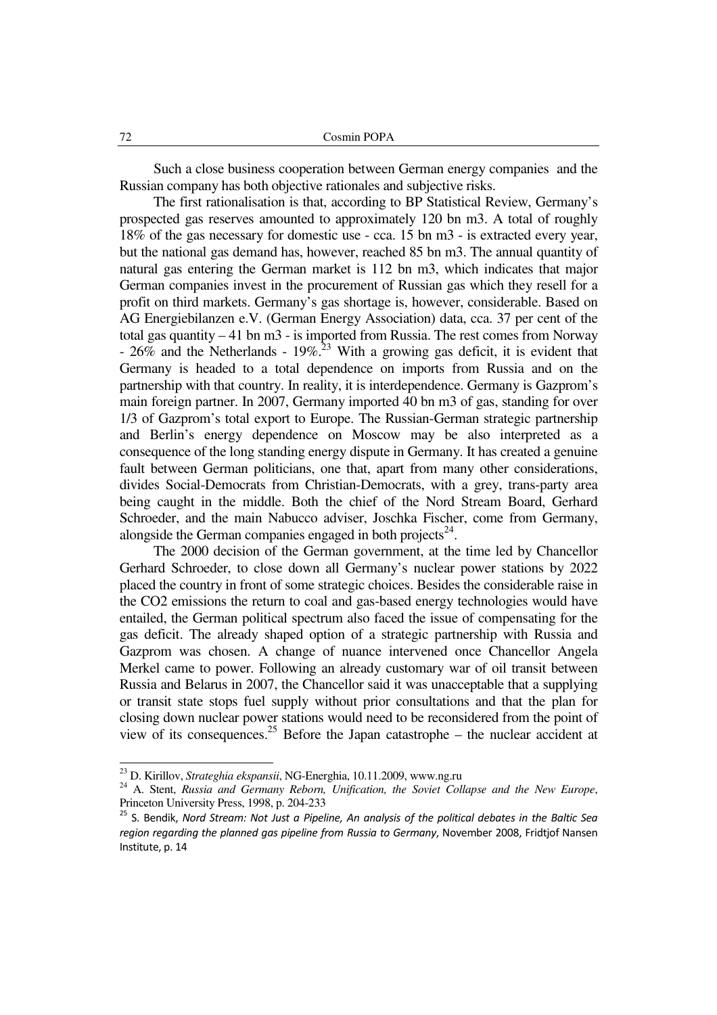Such a close business cooperation between German energy companies and the Russian company has both objective rationales and subjective risks.

The first rationalisation is that, according to BP Statistical Review, Germany's prospected gas reserves amounted to approximately 120 bn m3. A total of roughly 18% of the gas necessary for domestic use - cca. 15 bn m3 - is extracted every year, but the national gas demand has, however, reached 85 bn m3. The annual quantity of natural gas entering the German market is 112 bn m3, which indicates that major German companies invest in the procurement of Russian gas which they resell for a profit on third markets. Germany's gas shortage is, however, considerable. Based on AG Energiebilanzen e.V. (German Energy Association) data, cca. 37 per cent of the total gas quantity – 41 bn m3 - is imported from Russia. The rest comes from Norway  $-26\%$  and the Netherlands  $-19\%$ <sup>23</sup> With a growing gas deficit, it is evident that Germany is headed to a total dependence on imports from Russia and on the partnership with that country. In reality, it is interdependence. Germany is Gazprom's main foreign partner. In 2007, Germany imported 40 bn m3 of gas, standing for over 1/3 of Gazprom's total export to Europe. The Russian-German strategic partnership and Berlin's energy dependence on Moscow may be also interpreted as a consequence of the long standing energy dispute in Germany. It has created a genuine fault between German politicians, one that, apart from many other considerations, divides Social-Democrats from Christian-Democrats, with a grey, trans-party area being caught in the middle. Both the chief of the Nord Stream Board, Gerhard Schroeder, and the main Nabucco adviser, Joschka Fischer, come from Germany, alongside the German companies engaged in both projects $^{24}$ .

The 2000 decision of the German government, at the time led by Chancellor Gerhard Schroeder, to close down all Germany's nuclear power stations by 2022 placed the country in front of some strategic choices. Besides the considerable raise in the CO2 emissions the return to coal and gas-based energy technologies would have entailed, the German political spectrum also faced the issue of compensating for the gas deficit. The already shaped option of a strategic partnership with Russia and Gazprom was chosen. A change of nuance intervened once Chancellor Angela Merkel came to power. Following an already customary war of oil transit between Russia and Belarus in 2007, the Chancellor said it was unacceptable that a supplying or transit state stops fuel supply without prior consultations and that the plan for closing down nuclear power stations would need to be reconsidered from the point of view of its consequences.<sup>25</sup> Before the Japan catastrophe – the nuclear accident at

<sup>23</sup> D. Kirillov, *Strateghia ekspansii*, NG-Energhia, 10.11.2009, www.ng.ru

<sup>&</sup>lt;sup>24</sup> A. Stent, *Russia and Germany Reborn*, *Unification, the Soviet Collapse and the New Europe*, Princeton University Press, 1998, p. 204-233

<sup>25</sup> S. Bendik, *Nord Stream: Not Just a Pipeline, An analysis of the political debates in the Baltic Sea region regarding the planned gas pipeline from Russia to Germany*, November 2008, Fridtjof Nansen Institute, p. 14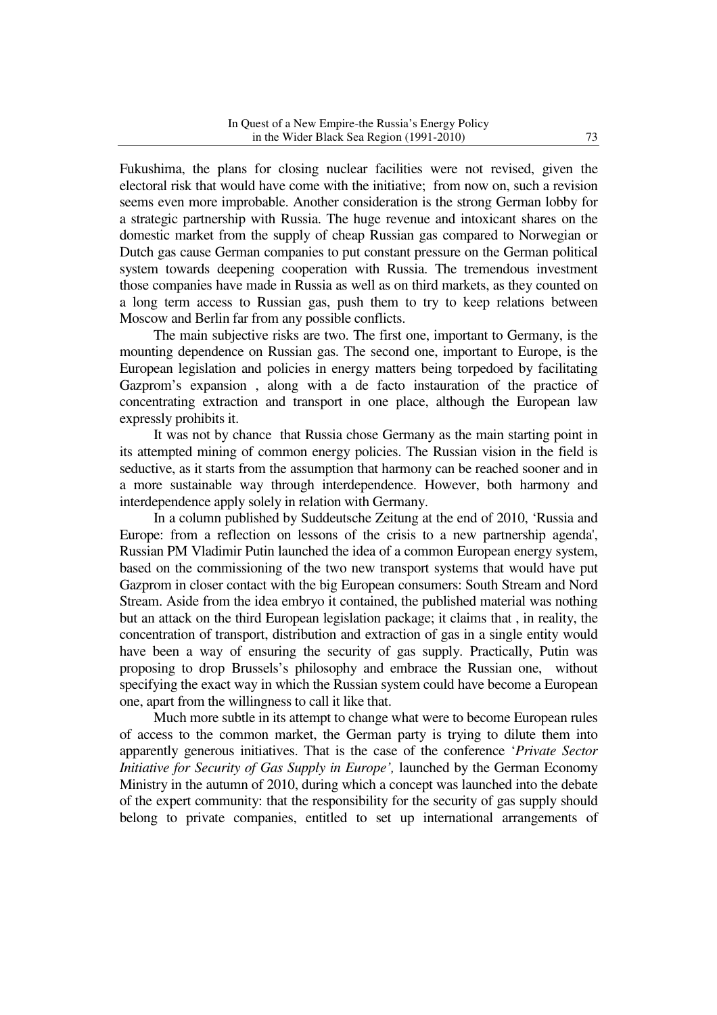Fukushima, the plans for closing nuclear facilities were not revised, given the electoral risk that would have come with the initiative; from now on, such a revision seems even more improbable. Another consideration is the strong German lobby for a strategic partnership with Russia. The huge revenue and intoxicant shares on the domestic market from the supply of cheap Russian gas compared to Norwegian or Dutch gas cause German companies to put constant pressure on the German political system towards deepening cooperation with Russia. The tremendous investment those companies have made in Russia as well as on third markets, as they counted on a long term access to Russian gas, push them to try to keep relations between Moscow and Berlin far from any possible conflicts.

The main subjective risks are two. The first one, important to Germany, is the mounting dependence on Russian gas. The second one, important to Europe, is the European legislation and policies in energy matters being torpedoed by facilitating Gazprom's expansion , along with a de facto instauration of the practice of concentrating extraction and transport in one place, although the European law expressly prohibits it.

It was not by chance that Russia chose Germany as the main starting point in its attempted mining of common energy policies. The Russian vision in the field is seductive, as it starts from the assumption that harmony can be reached sooner and in a more sustainable way through interdependence. However, both harmony and interdependence apply solely in relation with Germany.

In a column published by Suddeutsche Zeitung at the end of 2010, 'Russia and Europe: from a reflection on lessons of the crisis to a new partnership agenda', Russian PM Vladimir Putin launched the idea of a common European energy system, based on the commissioning of the two new transport systems that would have put Gazprom in closer contact with the big European consumers: South Stream and Nord Stream. Aside from the idea embryo it contained, the published material was nothing but an attack on the third European legislation package; it claims that , in reality, the concentration of transport, distribution and extraction of gas in a single entity would have been a way of ensuring the security of gas supply. Practically, Putin was proposing to drop Brussels's philosophy and embrace the Russian one, without specifying the exact way in which the Russian system could have become a European one, apart from the willingness to call it like that.

Much more subtle in its attempt to change what were to become European rules of access to the common market, the German party is trying to dilute them into apparently generous initiatives. That is the case of the conference '*Private Sector Initiative for Security of Gas Supply in Europe',* launched by the German Economy Ministry in the autumn of 2010, during which a concept was launched into the debate of the expert community: that the responsibility for the security of gas supply should belong to private companies, entitled to set up international arrangements of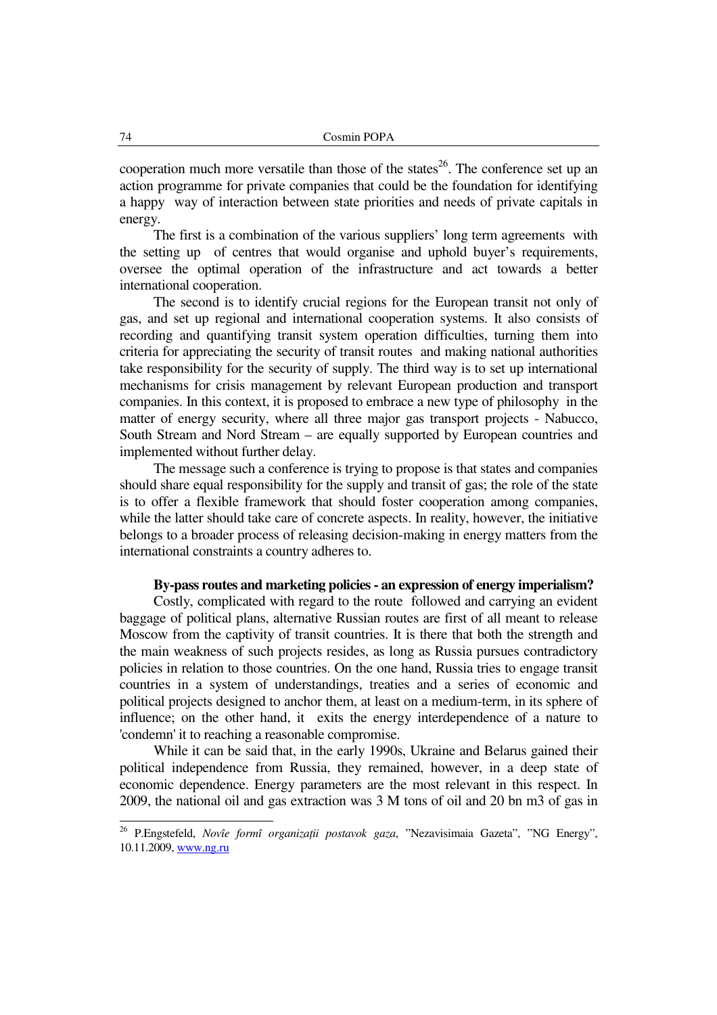cooperation much more versatile than those of the states $26$ . The conference set up an action programme for private companies that could be the foundation for identifying a happy way of interaction between state priorities and needs of private capitals in energy.

The first is a combination of the various suppliers' long term agreements with the setting up of centres that would organise and uphold buyer's requirements, oversee the optimal operation of the infrastructure and act towards a better international cooperation.

The second is to identify crucial regions for the European transit not only of gas, and set up regional and international cooperation systems. It also consists of recording and quantifying transit system operation difficulties, turning them into criteria for appreciating the security of transit routes and making national authorities take responsibility for the security of supply. The third way is to set up international mechanisms for crisis management by relevant European production and transport companies. In this context, it is proposed to embrace a new type of philosophy in the matter of energy security, where all three major gas transport projects - Nabucco, South Stream and Nord Stream – are equally supported by European countries and implemented without further delay.

The message such a conference is trying to propose is that states and companies should share equal responsibility for the supply and transit of gas; the role of the state is to offer a flexible framework that should foster cooperation among companies, while the latter should take care of concrete aspects. In reality, however, the initiative belongs to a broader process of releasing decision-making in energy matters from the international constraints a country adheres to.

#### **By-pass routes and marketing policies - an expression of energy imperialism?**

Costly, complicated with regard to the route followed and carrying an evident baggage of political plans, alternative Russian routes are first of all meant to release Moscow from the captivity of transit countries. It is there that both the strength and the main weakness of such projects resides, as long as Russia pursues contradictory policies in relation to those countries. On the one hand, Russia tries to engage transit countries in a system of understandings, treaties and a series of economic and political projects designed to anchor them, at least on a medium-term, in its sphere of influence; on the other hand, it exits the energy interdependence of a nature to 'condemn' it to reaching a reasonable compromise.

While it can be said that, in the early 1990s, Ukraine and Belarus gained their political independence from Russia, they remained, however, in a deep state of economic dependence. Energy parameters are the most relevant in this respect. In 2009, the national oil and gas extraction was 3 M tons of oil and 20 bn m3 of gas in

<sup>&</sup>lt;sup>26</sup> P.Engstefeld, *Novîe formî organizații postavok gaza*, "Nezavisimaia Gazeta", "NG Energy", 10.11.2009, www.ng.ru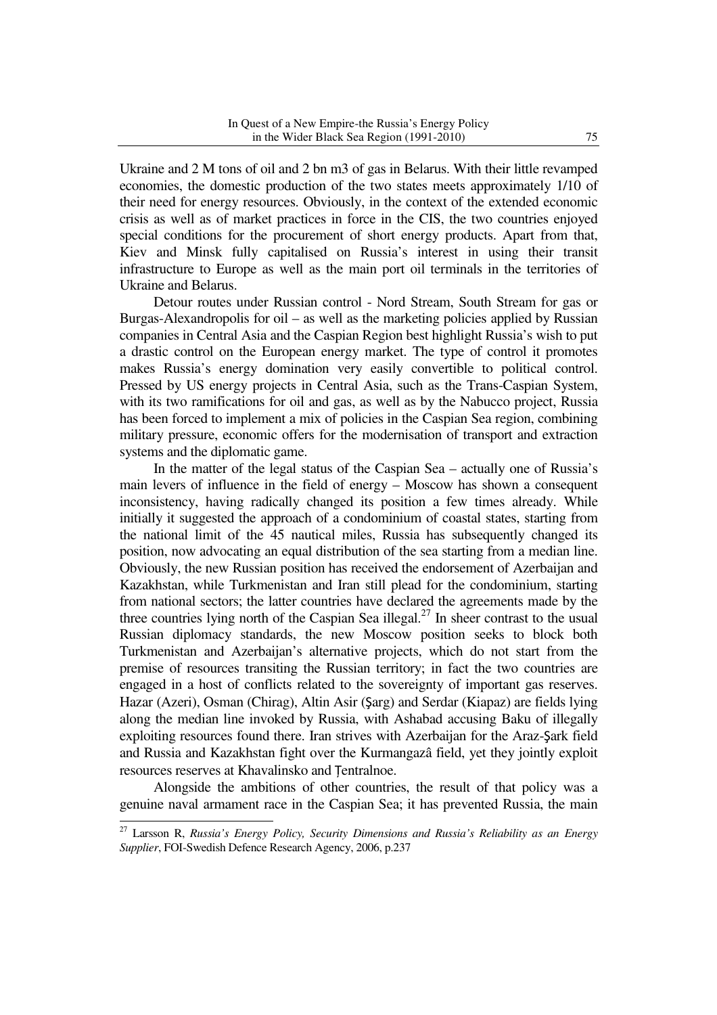Ukraine and 2 M tons of oil and 2 bn m3 of gas in Belarus. With their little revamped economies, the domestic production of the two states meets approximately 1/10 of their need for energy resources. Obviously, in the context of the extended economic crisis as well as of market practices in force in the CIS, the two countries enjoyed special conditions for the procurement of short energy products. Apart from that, Kiev and Minsk fully capitalised on Russia's interest in using their transit infrastructure to Europe as well as the main port oil terminals in the territories of Ukraine and Belarus.

Detour routes under Russian control - Nord Stream, South Stream for gas or Burgas-Alexandropolis for oil – as well as the marketing policies applied by Russian companies in Central Asia and the Caspian Region best highlight Russia's wish to put a drastic control on the European energy market. The type of control it promotes makes Russia's energy domination very easily convertible to political control. Pressed by US energy projects in Central Asia, such as the Trans-Caspian System, with its two ramifications for oil and gas, as well as by the Nabucco project, Russia has been forced to implement a mix of policies in the Caspian Sea region, combining military pressure, economic offers for the modernisation of transport and extraction systems and the diplomatic game.

In the matter of the legal status of the Caspian Sea – actually one of Russia's main levers of influence in the field of energy – Moscow has shown a consequent inconsistency, having radically changed its position a few times already. While initially it suggested the approach of a condominium of coastal states, starting from the national limit of the 45 nautical miles, Russia has subsequently changed its position, now advocating an equal distribution of the sea starting from a median line. Obviously, the new Russian position has received the endorsement of Azerbaijan and Kazakhstan, while Turkmenistan and Iran still plead for the condominium, starting from national sectors; the latter countries have declared the agreements made by the three countries lying north of the Caspian Sea illegal.<sup>27</sup> In sheer contrast to the usual Russian diplomacy standards, the new Moscow position seeks to block both Turkmenistan and Azerbaijan's alternative projects, which do not start from the premise of resources transiting the Russian territory; in fact the two countries are engaged in a host of conflicts related to the sovereignty of important gas reserves. Hazar (Azeri), Osman (Chirag), Altin Asir (Şarg) and Serdar (Kiapaz) are fields lying along the median line invoked by Russia, with Ashabad accusing Baku of illegally exploiting resources found there. Iran strives with Azerbaijan for the Araz-Şark field and Russia and Kazakhstan fight over the Kurmangazâ field, yet they jointly exploit resources reserves at Khavalinsko and Ţentralnoe.

Alongside the ambitions of other countries, the result of that policy was a genuine naval armament race in the Caspian Sea; it has prevented Russia, the main

<sup>27</sup> Larsson R, *Russia's Energy Policy, Security Dimensions and Russia's Reliability as an Energy Supplier*, FOI-Swedish Defence Research Agency, 2006, p.237